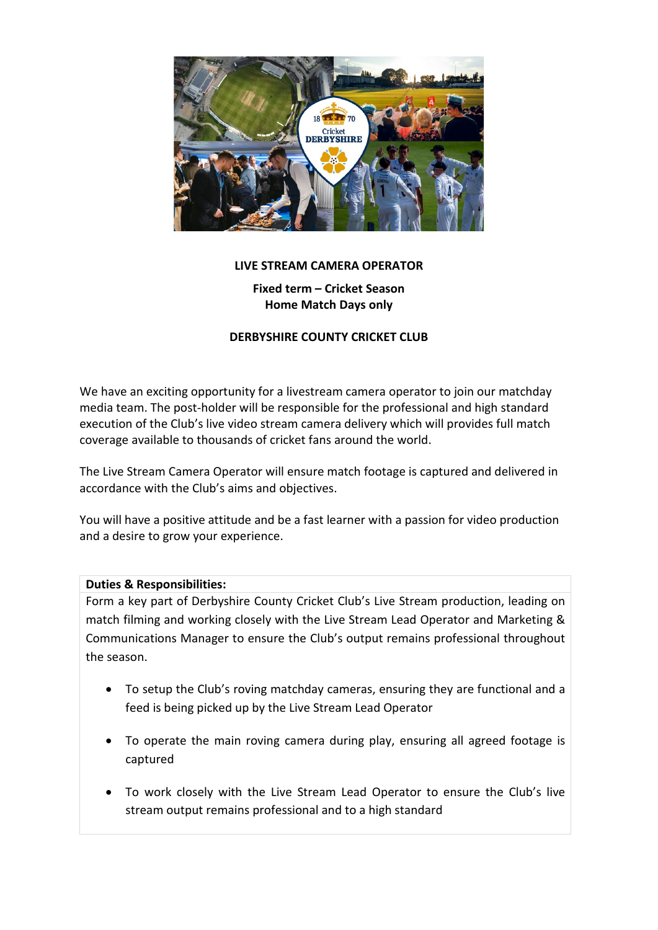

# **LIVE STREAM CAMERA OPERATOR**

**Fixed term – Cricket Season Home Match Days only**

## **DERBYSHIRE COUNTY CRICKET CLUB**

We have an exciting opportunity for a livestream camera operator to join our matchday media team. The post-holder will be responsible for the professional and high standard execution of the Club's live video stream camera delivery which will provides full match coverage available to thousands of cricket fans around the world.

The Live Stream Camera Operator will ensure match footage is captured and delivered in accordance with the Club's aims and objectives.

You will have a positive attitude and be a fast learner with a passion for video production and a desire to grow your experience.

### **Duties & Responsibilities:**

Form a key part of Derbyshire County Cricket Club's Live Stream production, leading on match filming and working closely with the Live Stream Lead Operator and Marketing & Communications Manager to ensure the Club's output remains professional throughout the season.

- To setup the Club's roving matchday cameras, ensuring they are functional and a feed is being picked up by the Live Stream Lead Operator
- To operate the main roving camera during play, ensuring all agreed footage is captured
- To work closely with the Live Stream Lead Operator to ensure the Club's live stream output remains professional and to a high standard